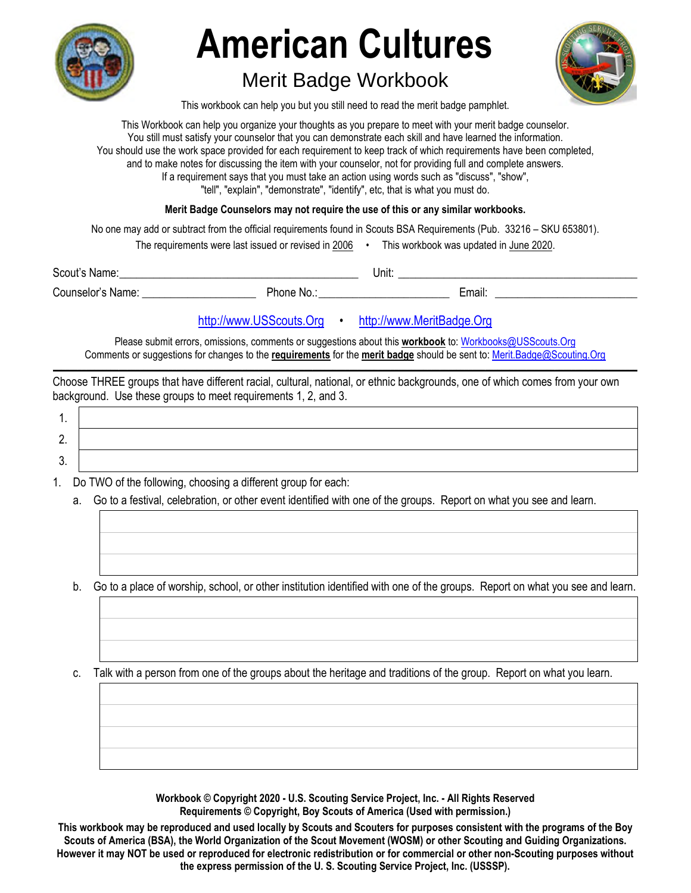

## **American Cultures**

## Merit Badge Workbook



This workbook can help you but you still need to read the merit badge pamphlet.

This Workbook can help you organize your thoughts as you prepare to meet with your merit badge counselor. You still must satisfy your counselor that you can demonstrate each skill and have learned the information. You should use the work space provided for each requirement to keep track of which requirements have been completed, and to make notes for discussing the item with your counselor, not for providing full and complete answers. If a requirement says that you must take an action using words such as "discuss", "show", "tell", "explain", "demonstrate", "identify", etc, that is what you must do.

**Merit Badge Counselors may not require the use of this or any similar workbooks.**

No one may add or subtract from the official requirements found in Scouts BSA Requirements (Pub. 33216 – SKU 653801).

| The requirements were last issued or revised in 2006 |  | This workbook was updated in June 2020. |
|------------------------------------------------------|--|-----------------------------------------|
|------------------------------------------------------|--|-----------------------------------------|

Scout's Name: \_\_\_\_\_\_\_\_\_\_\_\_\_\_\_\_\_\_\_\_\_\_\_\_\_\_\_\_\_\_\_\_\_\_\_\_\_\_\_\_\_\_ Unit: \_\_\_\_\_\_\_\_\_\_\_\_\_\_\_\_\_\_\_\_\_\_\_\_\_\_\_\_\_\_\_\_\_\_\_\_\_\_\_\_\_\_

Counselor's Name: \_\_\_\_\_\_\_\_\_\_\_\_\_\_\_\_\_\_\_\_ Phone No.: \_\_\_\_\_\_\_\_\_\_\_\_\_\_\_\_\_\_\_\_\_\_\_ Email: \_\_\_\_\_\_\_\_\_\_\_\_\_\_\_\_\_\_\_\_\_\_\_\_\_

## http://www.USScouts.Org • http://www.MeritBadge.Org

Please submit errors, omissions, comments or suggestions about this **workbook** to: Workbooks@USScouts.Org Comments or suggestions for changes to the **requirements** for the **merit badge** should be sent to: Merit.Badge@Scouting.Org *\_\_\_\_\_\_\_\_\_\_\_\_\_\_\_\_\_\_\_\_\_\_\_\_\_\_\_\_\_\_\_\_\_\_\_\_\_\_\_\_\_\_\_\_\_\_\_\_\_\_\_\_\_\_\_\_\_\_\_\_\_\_\_\_\_\_\_\_\_\_\_\_\_\_\_\_\_\_\_\_\_\_\_\_\_\_\_\_\_\_\_\_\_\_\_\_\_\_\_\_\_\_\_\_\_\_\_\_\_\_\_\_\_\_\_\_\_\_\_\_\_\_\_\_\_\_\_\_\_\_\_\_\_\_\_\_\_\_\_\_\_\_* 

Choose THREE groups that have different racial, cultural, national, or ethnic backgrounds, one of which comes from your own background. Use these groups to meet requirements 1, 2, and 3.

- 1. Do TWO of the following, choosing a different group for each:
	- a. Go to a festival, celebration, or other event identified with one of the groups. Report on what you see and learn.

b. Go to a place of worship, school, or other institution identified with one of the groups. Report on what you see and learn.

c. Talk with a person from one of the groups about the heritage and traditions of the group. Report on what you learn.

**Workbook © Copyright 2020 - U.S. Scouting Service Project, Inc. - All Rights Reserved Requirements © Copyright, Boy Scouts of America (Used with permission.)** 

**This workbook may be reproduced and used locally by Scouts and Scouters for purposes consistent with the programs of the Boy Scouts of America (BSA), the World Organization of the Scout Movement (WOSM) or other Scouting and Guiding Organizations. However it may NOT be used or reproduced for electronic redistribution or for commercial or other non-Scouting purposes without the express permission of the U. S. Scouting Service Project, Inc. (USSSP).**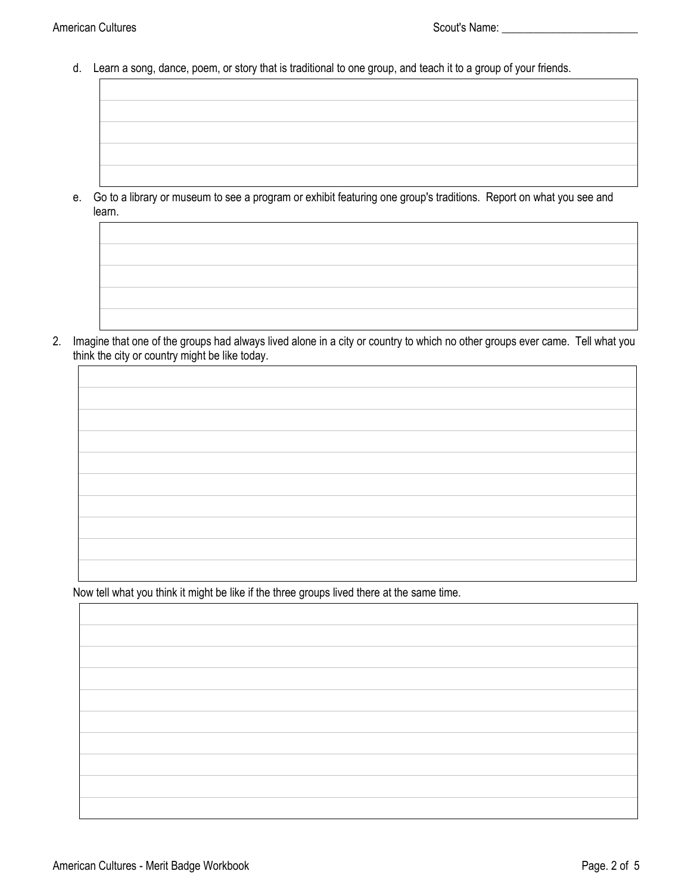d. Learn a song, dance, poem, or story that is traditional to one group, and teach it to a group of your friends.

e. Go to a library or museum to see a program or exhibit featuring one group's traditions. Report on what you see and learn.

2. Imagine that one of the groups had always lived alone in a city or country to which no other groups ever came. Tell what you think the city or country might be like today.

Now tell what you think it might be like if the three groups lived there at the same time.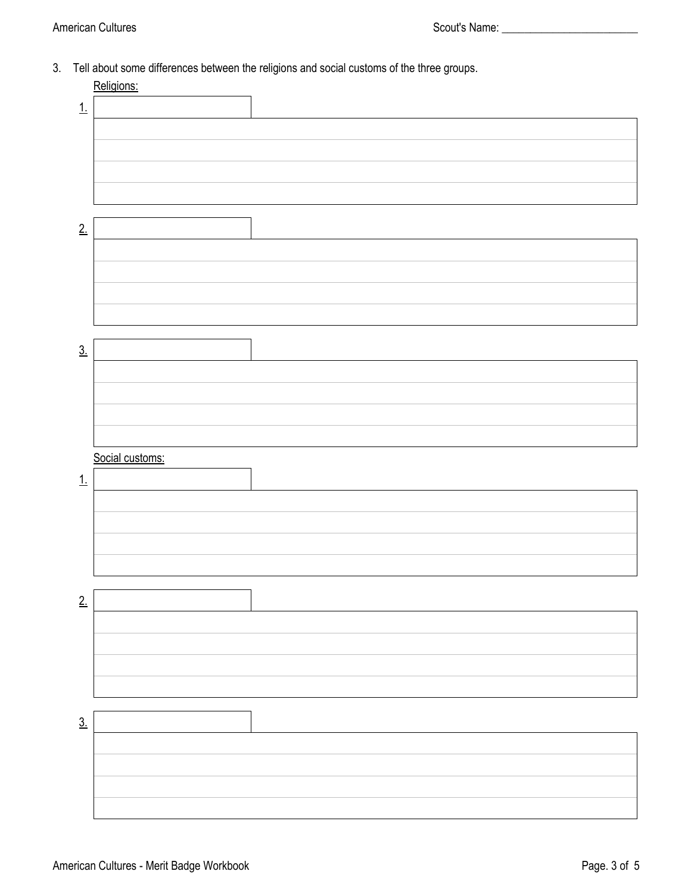3. Tell about some differences between the religions and social customs of the three groups.

|                   | Religions:      |  |
|-------------------|-----------------|--|
| 1.                |                 |  |
|                   |                 |  |
|                   |                 |  |
|                   |                 |  |
|                   |                 |  |
|                   |                 |  |
|                   |                 |  |
| 2.                |                 |  |
|                   |                 |  |
|                   |                 |  |
|                   |                 |  |
|                   |                 |  |
|                   |                 |  |
|                   |                 |  |
| $\underline{3}$ . |                 |  |
|                   |                 |  |
|                   |                 |  |
|                   |                 |  |
|                   |                 |  |
|                   |                 |  |
|                   |                 |  |
|                   | Social customs: |  |
| 1                 |                 |  |
|                   |                 |  |
|                   |                 |  |
|                   |                 |  |
|                   |                 |  |
|                   |                 |  |
|                   |                 |  |
| 2.                |                 |  |
|                   |                 |  |
|                   |                 |  |
|                   |                 |  |
|                   |                 |  |
|                   |                 |  |
| $\underline{3}$ . |                 |  |
|                   |                 |  |
|                   |                 |  |
|                   |                 |  |
|                   |                 |  |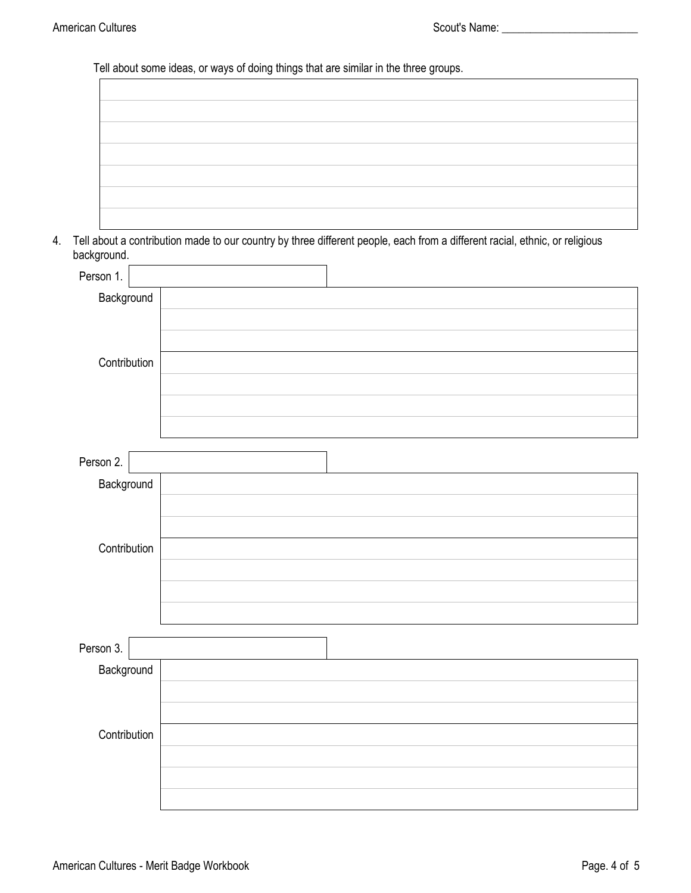Tell about some ideas, or ways of doing things that are similar in the three groups.

| 4. | background.  | Tell about a contribution made to our country by three different people, each from a different racial, ethnic, or religious |
|----|--------------|-----------------------------------------------------------------------------------------------------------------------------|
|    | Person 1.    |                                                                                                                             |
|    | Background   |                                                                                                                             |
|    |              |                                                                                                                             |
|    |              |                                                                                                                             |
|    | Contribution |                                                                                                                             |
|    |              |                                                                                                                             |
|    |              |                                                                                                                             |
|    |              |                                                                                                                             |
|    | Person 2.    |                                                                                                                             |
|    | Background   |                                                                                                                             |
|    |              |                                                                                                                             |
|    |              |                                                                                                                             |
|    | Contribution |                                                                                                                             |
|    |              |                                                                                                                             |
|    |              |                                                                                                                             |
|    |              |                                                                                                                             |
|    |              |                                                                                                                             |
|    | Person 3.    |                                                                                                                             |
|    | Background   |                                                                                                                             |
|    |              |                                                                                                                             |
|    |              |                                                                                                                             |
|    | Contribution |                                                                                                                             |
|    |              |                                                                                                                             |
|    |              |                                                                                                                             |
|    |              |                                                                                                                             |